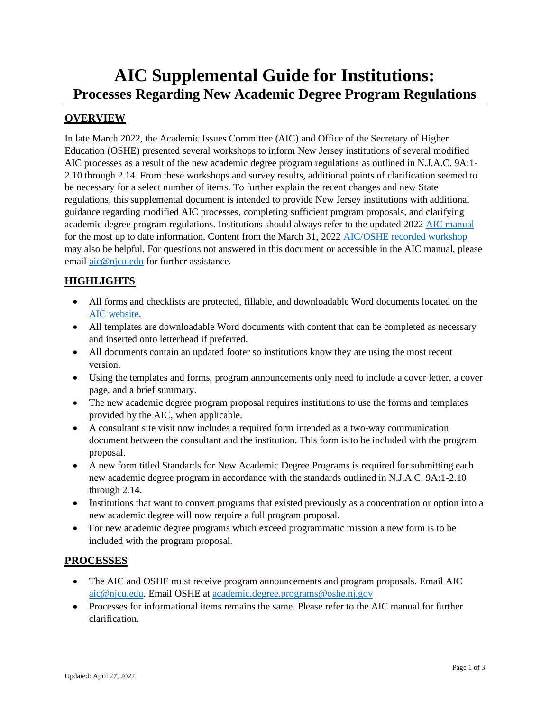# **AIC Supplemental Guide for Institutions: Processes Regarding New Academic Degree Program Regulations**

# **OVERVIEW**

In late March 2022, the Academic Issues Committee (AIC) and Office of the Secretary of Higher Education (OSHE) presented several workshops to inform New Jersey institutions of several modified AIC processes as a result of the new academic degree program regulations as outlined in N.J.A.C. 9A:1- 2.10 through 2.14. From these workshops and survey results, additional points of clarification seemed to be necessary for a select number of items. To further explain the recent changes and new State regulations, this supplemental document is intended to provide New Jersey institutions with additional guidance regarding modified AIC processes, completing sufficient program proposals, and clarifying academic degree program regulations. Institutions should always refer to the updated 2022 [AIC manual](https://www.njpc.org/wp-content/uploads/2022/03/AIC-Manual-03.10.2022.pdf) for the most up to date information. Content from the March 31, 2022 [AIC/OSHE recorded workshop](https://www.zoomgov.com/rec/share/HHgbajvWKZKMHXU6fOS-CNvr_MlftqkY5GM4BQsytFOPL2uEfk6XpeopQEpKSd0.nYvk53mVz9BzBEDS) may also be helpful. For questions not answered in this document or accessible in the AIC manual, please email [aic@njcu.edu](mailto:aic@njcu.edu) for further assistance.

## **HIGHLIGHTS**

- All forms and checklists are protected, fillable, and downloadable Word documents located on the [AIC website.](https://www.njpc.org/aic/)
- All templates are downloadable Word documents with content that can be completed as necessary and inserted onto letterhead if preferred.
- All documents contain an updated footer so institutions know they are using the most recent version.
- Using the templates and forms, program announcements only need to include a cover letter, a cover page, and a brief summary.
- The new academic degree program proposal requires institutions to use the forms and templates provided by the AIC, when applicable.
- A consultant site visit now includes a required form intended as a two-way communication document between the consultant and the institution. This form is to be included with the program proposal.
- A new form titled Standards for New Academic Degree Programs is required for submitting each new academic degree program in accordance with the standards outlined in N.J.A.C. 9A:1-2.10 through 2.14.
- Institutions that want to convert programs that existed previously as a concentration or option into a new academic degree will now require a full program proposal.
- For new academic degree programs which exceed programmatic mission a new form is to be included with the program proposal.

## **PROCESSES**

- The AIC and OSHE must receive program announcements and program proposals. Email AIC [aic@njcu.edu.](mailto:aic@njcu.edu) Email OSHE at [academic.degree.programs@oshe.nj.gov](mailto:academic.degree.programs@oshe.nj.gov)
- Processes for informational items remains the same. Please refer to the AIC manual for further clarification.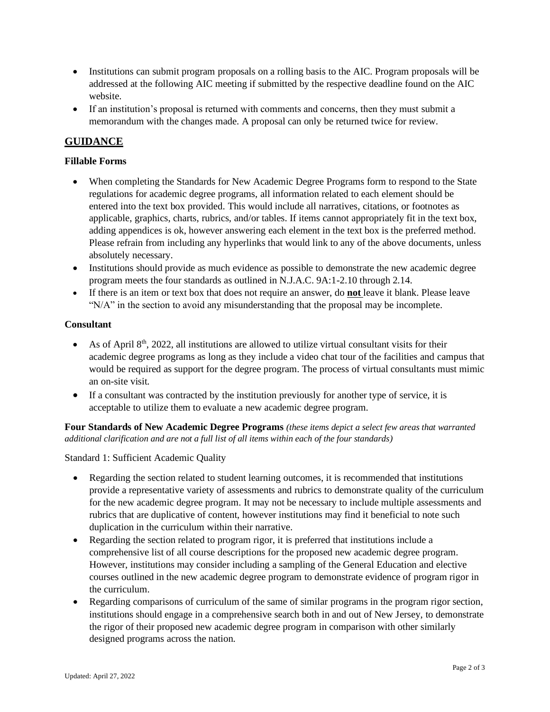- Institutions can submit program proposals on a rolling basis to the AIC. Program proposals will be addressed at the following AIC meeting if submitted by the respective deadline found on the AIC website.
- If an institution's proposal is returned with comments and concerns, then they must submit a memorandum with the changes made. A proposal can only be returned twice for review.

# **GUIDANCE**

## **Fillable Forms**

- When completing the Standards for New Academic Degree Programs form to respond to the State regulations for academic degree programs, all information related to each element should be entered into the text box provided. This would include all narratives, citations, or footnotes as applicable, graphics, charts, rubrics, and/or tables. If items cannot appropriately fit in the text box, adding appendices is ok, however answering each element in the text box is the preferred method. Please refrain from including any hyperlinks that would link to any of the above documents, unless absolutely necessary.
- Institutions should provide as much evidence as possible to demonstrate the new academic degree program meets the four standards as outlined in N.J.A.C. 9A:1-2.10 through 2.14.
- If there is an item or text box that does not require an answer, do **not** leave it blank. Please leave "N/A" in the section to avoid any misunderstanding that the proposal may be incomplete.

### **Consultant**

- As of April 8<sup>th</sup>, 2022, all institutions are allowed to utilize virtual consultant visits for their academic degree programs as long as they include a video chat tour of the facilities and campus that would be required as support for the degree program. The process of virtual consultants must mimic an on-site visit.
- If a consultant was contracted by the institution previously for another type of service, it is acceptable to utilize them to evaluate a new academic degree program.

**Four Standards of New Academic Degree Programs** *(these items depict a select few areas that warranted additional clarification and are not a full list of all items within each of the four standards)*

Standard 1: Sufficient Academic Quality

- Regarding the section related to student learning outcomes, it is recommended that institutions provide a representative variety of assessments and rubrics to demonstrate quality of the curriculum for the new academic degree program. It may not be necessary to include multiple assessments and rubrics that are duplicative of content, however institutions may find it beneficial to note such duplication in the curriculum within their narrative.
- Regarding the section related to program rigor, it is preferred that institutions include a comprehensive list of all course descriptions for the proposed new academic degree program. However, institutions may consider including a sampling of the General Education and elective courses outlined in the new academic degree program to demonstrate evidence of program rigor in the curriculum.
- Regarding comparisons of curriculum of the same of similar programs in the program rigor section, institutions should engage in a comprehensive search both in and out of New Jersey, to demonstrate the rigor of their proposed new academic degree program in comparison with other similarly designed programs across the nation.